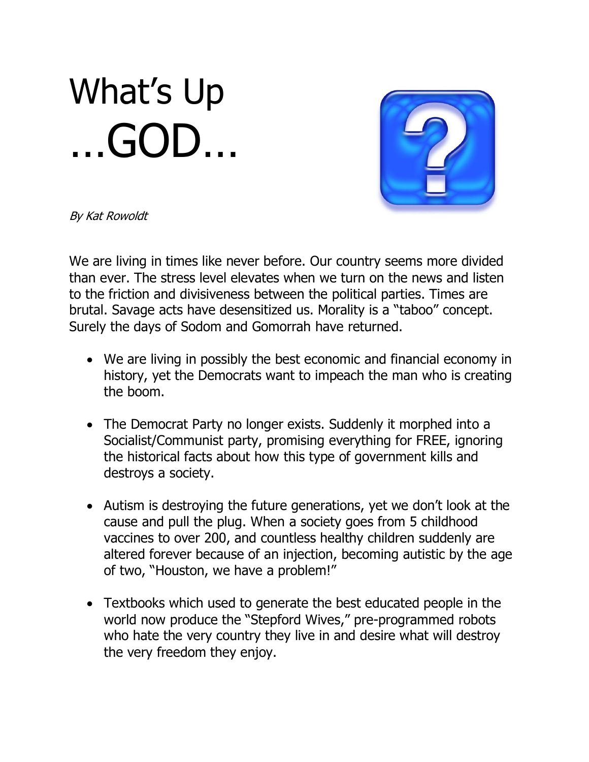## What's Up …GOD…



By Kat Rowoldt

We are living in times like never before. Our country seems more divided than ever. The stress level elevates when we turn on the news and listen to the friction and divisiveness between the political parties. Times are brutal. Savage acts have desensitized us. Morality is a "taboo" concept. Surely the days of Sodom and Gomorrah have returned.

- We are living in possibly the best economic and financial economy in history, yet the Democrats want to impeach the man who is creating the boom.
- The Democrat Party no longer exists. Suddenly it morphed into a Socialist/Communist party, promising everything for FREE, ignoring the historical facts about how this type of government kills and destroys a society.
- Autism is destroying the future generations, yet we don't look at the cause and pull the plug. When a society goes from 5 childhood vaccines to over 200, and countless healthy children suddenly are altered forever because of an injection, becoming autistic by the age of two, "Houston, we have a problem!"
- Textbooks which used to generate the best educated people in the world now produce the "Stepford Wives," pre-programmed robots who hate the very country they live in and desire what will destroy the very freedom they enjoy.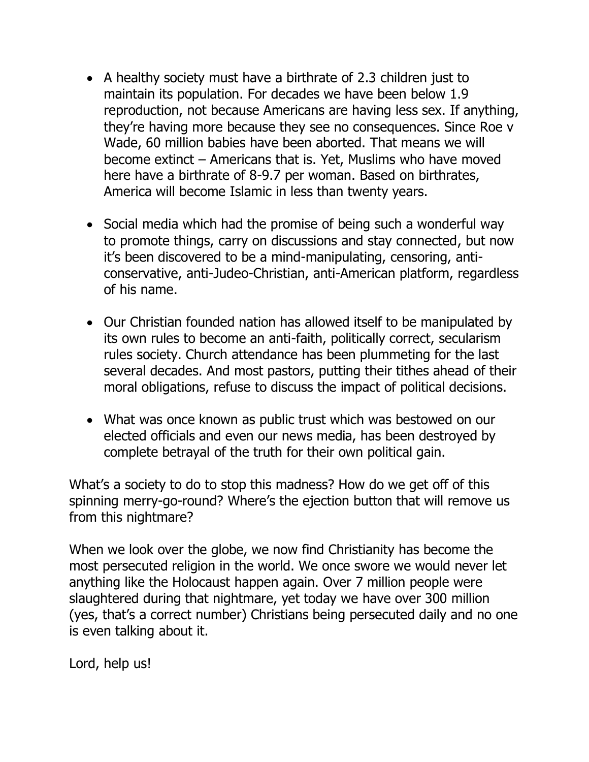- A healthy society must have a birthrate of 2.3 children just to maintain its population. For decades we have been below 1.9 reproduction, not because Americans are having less sex. If anything, they're having more because they see no consequences. Since Roe v Wade, 60 million babies have been aborted. That means we will become extinct – Americans that is. Yet, Muslims who have moved here have a birthrate of 8-9.7 per woman. Based on birthrates, America will become Islamic in less than twenty years.
- Social media which had the promise of being such a wonderful way to promote things, carry on discussions and stay connected, but now it's been discovered to be a mind-manipulating, censoring, anticonservative, anti-Judeo-Christian, anti-American platform, regardless of his name.
- Our Christian founded nation has allowed itself to be manipulated by its own rules to become an anti-faith, politically correct, secularism rules society. Church attendance has been plummeting for the last several decades. And most pastors, putting their tithes ahead of their moral obligations, refuse to discuss the impact of political decisions.
- What was once known as public trust which was bestowed on our elected officials and even our news media, has been destroyed by complete betrayal of the truth for their own political gain.

What's a society to do to stop this madness? How do we get off of this spinning merry-go-round? Where's the ejection button that will remove us from this nightmare?

When we look over the globe, we now find Christianity has become the most persecuted religion in the world. We once swore we would never let anything like the Holocaust happen again. Over 7 million people were slaughtered during that nightmare, yet today we have over 300 million (yes, that's a correct number) Christians being persecuted daily and no one is even talking about it.

Lord, help us!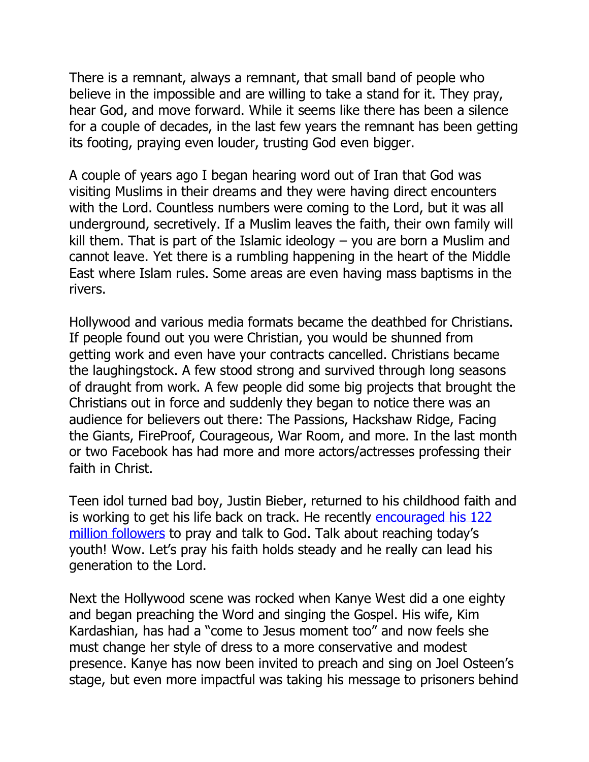There is a remnant, always a remnant, that small band of people who believe in the impossible and are willing to take a stand for it. They pray, hear God, and move forward. While it seems like there has been a silence for a couple of decades, in the last few years the remnant has been getting its footing, praying even louder, trusting God even bigger.

A couple of years ago I began hearing word out of Iran that God was visiting Muslims in their dreams and they were having direct encounters with the Lord. Countless numbers were coming to the Lord, but it was all underground, secretively. If a Muslim leaves the faith, their own family will kill them. That is part of the Islamic ideology – you are born a Muslim and cannot leave. Yet there is a rumbling happening in the heart of the Middle East where Islam rules. Some areas are even having mass baptisms in the rivers.

Hollywood and various media formats became the deathbed for Christians. If people found out you were Christian, you would be shunned from getting work and even have your contracts cancelled. Christians became the laughingstock. A few stood strong and survived through long seasons of draught from work. A few people did some big projects that brought the Christians out in force and suddenly they began to notice there was an audience for believers out there: The Passions, Hackshaw Ridge, Facing the Giants, FireProof, Courageous, War Room, and more. In the last month or two Facebook has had more and more actors/actresses professing their faith in Christ.

Teen idol turned bad boy, Justin Bieber, returned to his childhood faith and is working to get his life back on track. He recently encouraged his 122 [million followers](https://jenniferleclaire.org/articles/justin-bieber-encourages-122-million-followers-to-pray-and-talk-to-god/?v=7516fd43adaa&fbclid=IwAR2MMQL5BNJc7__ZQ5f3myn3zAmIa13dJDQEnuZ7y4h_odlN4IKsTPPi47k) to pray and talk to God. Talk about reaching today's youth! Wow. Let's pray his faith holds steady and he really can lead his generation to the Lord.

Next the Hollywood scene was rocked when Kanye West did a one eighty and began preaching the Word and singing the Gospel. His wife, Kim Kardashian, has had a "come to Jesus moment too" and now feels she must change her style of dress to a more conservative and modest presence. Kanye has now been invited to preach and sing on Joel Osteen's stage, but even more impactful was taking his message to prisoners behind